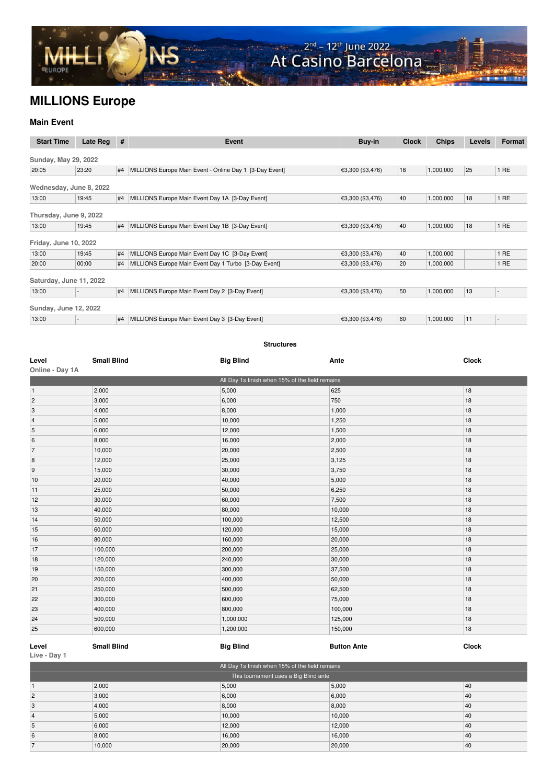

## **MILLIONS Europe**

## **Main Event**

| <b>Start Time</b>       | Late Reg | $\#$ | Event                                                   | Buy-in           | <b>Clock</b> | <b>Chips</b> | <b>Levels</b> | Format |
|-------------------------|----------|------|---------------------------------------------------------|------------------|--------------|--------------|---------------|--------|
| Sunday, May 29, 2022    |          |      |                                                         |                  |              |              |               |        |
| 20:05                   | 23:20    | #4   | MILLIONS Europe Main Event - Online Day 1 [3-Day Event] | €3,300 (\$3,476) | 18           | 1,000,000    | 25            | 1RE    |
| Wednesday, June 8, 2022 |          |      |                                                         |                  |              |              |               |        |
| 13:00                   | 19:45    | #4   | MILLIONS Europe Main Event Day 1A [3-Day Event]         | €3,300 (\$3,476) | 40           | 1,000,000    | 18            | 1 RE   |
| Thursday, June 9, 2022  |          |      |                                                         |                  |              |              |               |        |
| 13:00                   | 19:45    | #4   | MILLIONS Europe Main Event Day 1B [3-Day Event]         | €3,300 (\$3,476) | 40           | 1,000,000    | 18            | 1RE    |
| Friday, June 10, 2022   |          |      |                                                         |                  |              |              |               |        |
| 13:00                   | 19:45    |      | #4 MILLIONS Europe Main Event Day 1C [3-Day Event]      | €3,300 (\$3,476) | 40           | 1,000,000    |               | 1 RE   |
| 20:00                   | 00:00    | #4   | MILLIONS Europe Main Event Day 1 Turbo [3-Day Event]    | €3,300 (\$3,476) | 20           | 1,000,000    |               | 1RE    |
| Saturday, June 11, 2022 |          |      |                                                         |                  |              |              |               |        |
| 13:00                   |          |      | #4   MILLIONS Europe Main Event Day 2 [3-Day Event]     | €3,300 (\$3,476) | 50           | 1,000,000    | 13            |        |
| Sunday, June 12, 2022   |          |      |                                                         |                  |              |              |               |        |
| 13:00                   |          | #4   | MILLIONS Europe Main Event Day 3 [3-Day Event]          | €3,300 (\$3,476) | 60           | 1,000,000    | 11            | ٠      |

## **Structures**

| Level           | <b>Small Blind</b> | <b>Big Blind</b>                                | Ante    | <b>Clock</b> |
|-----------------|--------------------|-------------------------------------------------|---------|--------------|
| Online - Day 1A |                    |                                                 |         |              |
|                 |                    | All Day 1s finish when 15% of the field remains |         |              |
| 1               | 2,000              | 5,000                                           | 625     | 18           |
| 2               | 3,000              | 6,000                                           | 750     | 18           |
| 3               | 4,000              | 8,000                                           | 1,000   | 18           |
| $\vert$ 4       | 5,000              | 10,000                                          | 1,250   | 18           |
| 5               | 6,000              | 12,000                                          | 1,500   | 18           |
| 6               | 8,000              | 16,000                                          | 2,000   | 18           |
| $\overline{7}$  | 10,000             | 20,000                                          | 2,500   | 18           |
| 8               | 12,000             | 25,000                                          | 3,125   | 18           |
| 9               | 15,000             | 30,000                                          | 3,750   | 18           |
| 10              | 20,000             | 40,000                                          | 5,000   | 18           |
| 11              | 25,000             | 50,000                                          | 6,250   | 18           |
| 12              | 30,000             | 60,000                                          | 7,500   | 18           |
| 13              | 40,000             | 80,000                                          | 10,000  | 18           |
| 14              | 50,000             | 100,000                                         | 12,500  | 18           |
| 15              | 60,000             | 120,000                                         | 15,000  | 18           |
| 16              | 80,000             | 160,000                                         | 20,000  | 18           |
| 17              | 100,000            | 200,000                                         | 25,000  | 18           |
| 18              | 120,000            | 240,000                                         | 30,000  | 18           |
| 19              | 150,000            | 300,000                                         | 37,500  | 18           |
| 20              | 200,000            | 400,000                                         | 50,000  | 18           |
| 21              | 250,000            | 500,000                                         | 62,500  | 18           |
| 22              | 300,000            | 600,000                                         | 75,000  | 18           |
| 23              | 400,000            | 800,000                                         | 100,000 | 18           |
| 24              | 500,000            | 1,000,000                                       | 125,000 | 18           |
| 25              | 600,000            | 1,200,000                                       | 150,000 | 18           |

## **Level Small Blind Big Blind Button Ante Clock Live - Day 1**

| All Day 1s finish when 15% of the field remains |        |        |        |    |  |
|-------------------------------------------------|--------|--------|--------|----|--|
| This tournament uses a Big Blind ante           |        |        |        |    |  |
|                                                 | 2,000  | 5,000  | 5,000  | 40 |  |
|                                                 | 3,000  | 6,000  | 6,000  | 40 |  |
|                                                 | 4,000  | 8,000  | 8,000  | 40 |  |
|                                                 | 5,000  | 10,000 | 10,000 | 40 |  |
|                                                 | 6,000  | 12,000 | 12,000 | 40 |  |
|                                                 | 8,000  | 16,000 | 16,000 | 40 |  |
|                                                 | 10,000 | 20,000 | 20,000 | 40 |  |